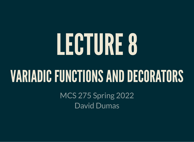# LECTURE8

### VARIADIC FUNCTIONS AND DECORATORS

MCS 275 Spring 2022 David Dumas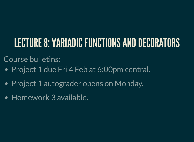#### LECTURE 8: VARIADIC FUNCTIONS AND DECORATORS

Course bulletins:

- Project 1 due Fri 4 Feb at 6:00pm central.
- Project 1 autograder opens on Monday.
- Homework 3 available.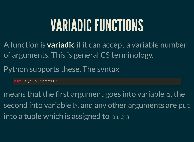# VARIADIC FUNCTIONS

A function is **variadic** if it can accept a variable number of arguments. This is general CS terminology.

Python supports these. The syntax

**def f**(a,b,\*args):

means that the first argument goes into variable a, the second into variable b, and any other arguments are put into a tuple which is assigned to args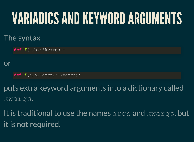# VARIADICSANDKEYWORDARGUMENTS

#### The syntax

**def f**(a,b,\*\*kwargs):

#### or

**def f**(a,b,\*args,\*\*kwargs):

puts extra keyword arguments into a dictionary called kwargs.

It is traditional to use the names args and kwargs, but it is not required.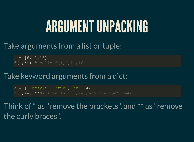### ARGUMENT UNPACKING

#### Take arguments from a list or tuple:

 $L = [6, 11, 16]$  $f(1, *L)$  # calls  $f(1, 6, 11, 16)$ 

#### Take keyword arguments from a dict:

 $d = \{$  "mcs275": "fun", "x": 42 }  $f(1, z=0, **d)$  # calls  $f(1, z=0, \text{mcs275} = "fun", x=42)$ 

Think of \* as "remove the brackets" , and \*\* as "remove the curly braces".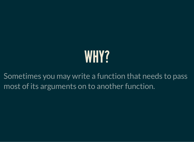# WHY?

Sometimes you may write a function that needs to pass most of its arguments on to another function.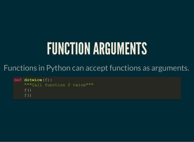# FUNCTION ARGUMENTS

#### Functions in Python can accept functions as arguments.

```
def dotwice(f):
     """Call function f twice"""
    f()f()
```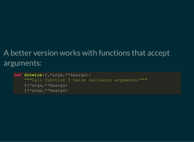#### A better version works with functions that accept arguments:

```
def dotwice(f,*args,**kwargs):
     """Call function f twice (allowing arguments)"""
     f(*args,**kwargs)
     f(*args,**kwargs)
```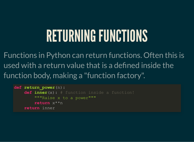### RETURNINGFUNCTIONS

Functions in Python can return functions. Often this is used with a return value that is a defined inside the function body, making a "function factory".

```
def return_power(n):
     def inner(x): # function inside a function!
         """Raise x to a power"""
         return x**n
     return inner
```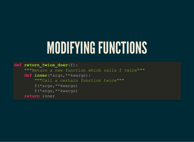### MODIFYING FUNCTIONS

**def return\_twice\_doer**(f): """Return a new function which calls f twice""" **def inner**(\*args,\*\*kwargs): """Call a certain function twice""" f(\*args,\*\*kwargs) f(\*args,\*\*kwargs) **return** inner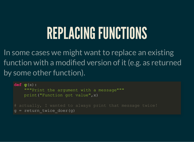### REPLACING FUNCTIONS

In some cases we might want to replace an existing function with a modified version of it (e.g. as returned by some other function).

**def g**(x): """Print the argument with a message""" print("Function got value",x) # actually, I wanted to always print that message twice!  $q = return twice door(q)$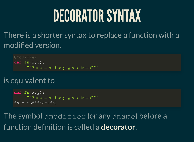### DECORATORSYNTAX

There is a shorter syntax to replace a function with a modified version.

**def fn**(x,y): """Function body goes here"""

#### is equivalent to

**def fn**(x,y): """Function body goes here"""  $fn = modifier(fn)$ 

The symbol @modifier (or any @name) before a function definition is called a **decorator**.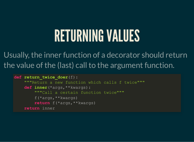### RETURNING VALUES

Usually, the inner function of a decorator should return the value of the (last) call to the argument function.

```
def return_twice_doer(f):
     """Return a new function which calls f twice"""
     def inner(*args,**kwargs):
         """Call a certain function twice"""
         f(*args,**kwargs)
         return f(*args,**kwargs)
     return inner
```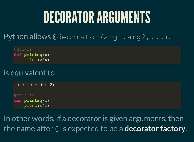# DECORATORARGUMENTS

Python allows @decorator (arg1, arg2, ...).

 $d$ dec $(2)$ **def printsq**(x): print(x\*x)

#### is equivalent to

```
thisdec = dec(2)@thisdec
def printsq(x):
     print(x*x)
```
In other words, if a decorator is given arguments, then the name after @ is expected to be a **decorator factory**.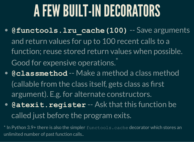# AFEW BUILT-INDECORATORS

- **@functools.lru\_cache(100)** -- Save arguments and return values for up to 100 recent calls to a function; reuse stored return values when possible. Good for expensive operations.<sup>\*</sup>
- **@classmethod** -- Make a method a class method (callable from the class itself, gets class as first argument). E.g. for alternate constructors.
- **@atexit.register** -- Ask that this function be called just before the program exits.

\* In Python 3.9+ there is also the simpler functools. cache decorator which stores an unlimited number of past function calls..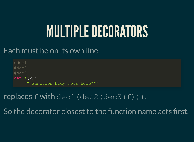# **MULTIPLE DECORATORS**

#### Each must be on its own line.

@dec1 @dec2 @dec3 **def f**(x): """Function body goes here"""

#### replaces  $f$  with  $\text{dec1}$  (dec2 (dec3(f))).

So the decorator closest to the function name acts first.